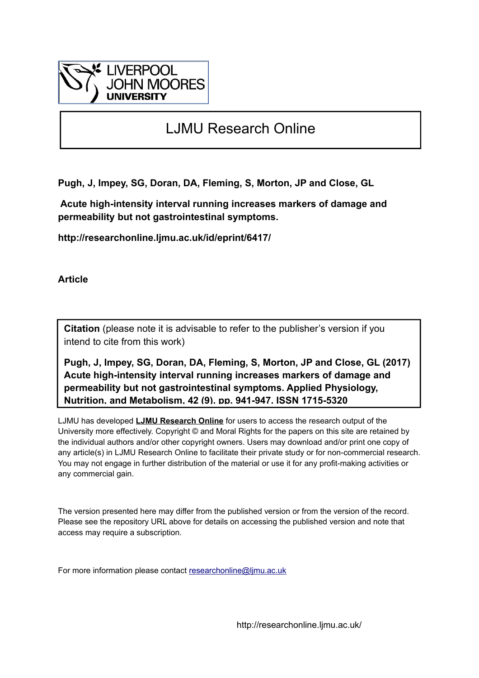

# LJMU Research Online

**Pugh, J, Impey, SG, Doran, DA, Fleming, S, Morton, JP and Close, GL**

 **Acute high-intensity interval running increases markers of damage and permeability but not gastrointestinal symptoms.**

**http://researchonline.ljmu.ac.uk/id/eprint/6417/**

**Article**

**Citation** (please note it is advisable to refer to the publisher's version if you intend to cite from this work)

**Pugh, J, Impey, SG, Doran, DA, Fleming, S, Morton, JP and Close, GL (2017) Acute high-intensity interval running increases markers of damage and permeability but not gastrointestinal symptoms. Applied Physiology, Nutrition, and Metabolism, 42 (9). pp. 941-947. ISSN 1715-5320** 

LJMU has developed **[LJMU Research Online](http://researchonline.ljmu.ac.uk/)** for users to access the research output of the University more effectively. Copyright © and Moral Rights for the papers on this site are retained by the individual authors and/or other copyright owners. Users may download and/or print one copy of any article(s) in LJMU Research Online to facilitate their private study or for non-commercial research. You may not engage in further distribution of the material or use it for any profit-making activities or any commercial gain.

The version presented here may differ from the published version or from the version of the record. Please see the repository URL above for details on accessing the published version and note that access may require a subscription.

For more information please contact [researchonline@ljmu.ac.uk](mailto:researchonline@ljmu.ac.uk)

http://researchonline.ljmu.ac.uk/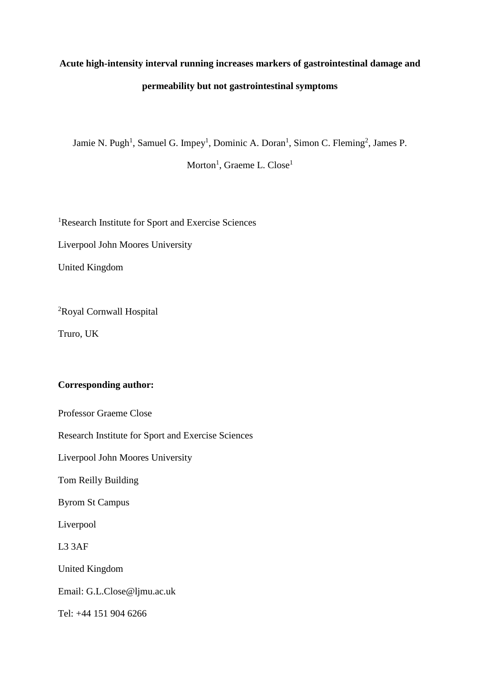# **Acute high-intensity interval running increases markers of gastrointestinal damage and permeability but not gastrointestinal symptoms**

Jamie N. Pugh<sup>1</sup>, Samuel G. Impey<sup>1</sup>, Dominic A. Doran<sup>1</sup>, Simon C. Fleming<sup>2</sup>, James P.

Morton<sup>1</sup>, Graeme L. Close<sup>1</sup>

<sup>1</sup>Research Institute for Sport and Exercise Sciences

Liverpool John Moores University

United Kingdom

<sup>2</sup>Royal Cornwall Hospital

Truro, UK

# **Corresponding author:**

Professor Graeme Close

Research Institute for Sport and Exercise Sciences

Liverpool John Moores University

Tom Reilly Building

Byrom St Campus

Liverpool

L3 3AF

United Kingdom

Email: G.L.Close@ljmu.ac.uk

Tel: +44 151 904 6266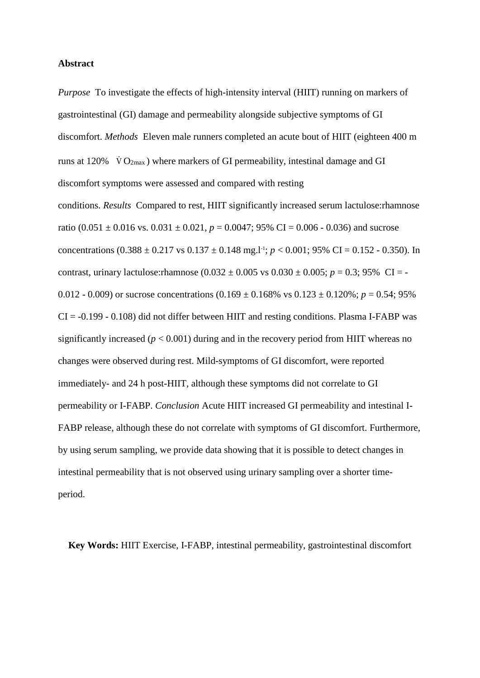### **Abstract**

*Purpose* To investigate the effects of high-intensity interval (HIIT) running on markers of gastrointestinal (GI) damage and permeability alongside subjective symptoms of GI discomfort. *Methods* Eleven male runners completed an acute bout of HIIT (eighteen 400 m runs at 120%  $\dot{V}O_{2\text{max}}$ ) where markers of GI permeability, intestinal damage and GI discomfort symptoms were assessed and compared with resting

conditions. *Results* Compared to rest, HIIT significantly increased serum lactulose:rhamnose ratio  $(0.051 \pm 0.016 \text{ vs. } 0.031 \pm 0.021, p = 0.0047; 95\% \text{ CI} = 0.006 - 0.036)$  and sucrose concentrations  $(0.388 \pm 0.217 \text{ vs } 0.137 \pm 0.148 \text{ mg.}1\cdot1; p < 0.001; 95\% \text{ CI} = 0.152 - 0.350)$ . In contrast, urinary lactulose: rhamnose  $(0.032 \pm 0.005 \text{ vs } 0.030 \pm 0.005; p = 0.3; 95\% \text{ CI} = -$ 0.012 - 0.009) or sucrose concentrations  $(0.169 \pm 0.168\% \text{ vs } 0.123 \pm 0.120\%; p = 0.54; 95\%$  $CI = -0.199 - 0.108$ ) did not differ between HIIT and resting conditions. Plasma I-FABP was significantly increased  $(p < 0.001)$  during and in the recovery period from HIIT whereas no changes were observed during rest. Mild-symptoms of GI discomfort, were reported immediately- and 24 h post-HIIT, although these symptoms did not correlate to GI permeability or I-FABP. *Conclusion* Acute HIIT increased GI permeability and intestinal I-FABP release, although these do not correlate with symptoms of GI discomfort. Furthermore, by using serum sampling, we provide data showing that it is possible to detect changes in intestinal permeability that is not observed using urinary sampling over a shorter timeperiod.

**Key Words:** HIIT Exercise, I-FABP, intestinal permeability, gastrointestinal discomfort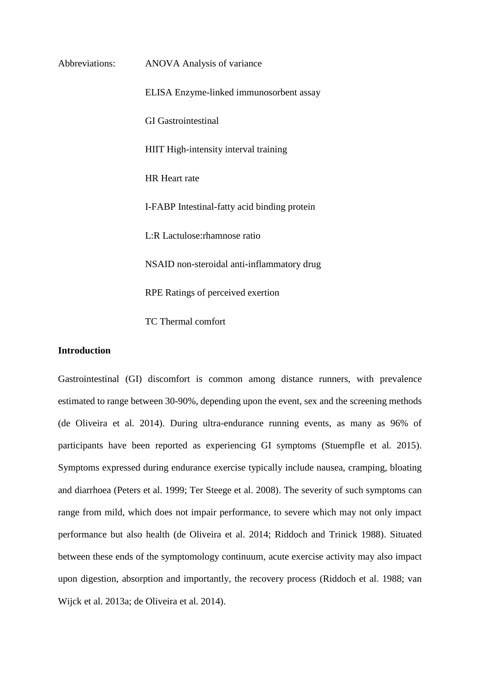Abbreviations: ANOVA Analysis of variance ELISA Enzyme-linked immunosorbent assay GI Gastrointestinal HIIT High-intensity interval training HR Heart rate I-FABP Intestinal-fatty acid binding protein L:R Lactulose:rhamnose ratio NSAID non-steroidal anti-inflammatory drug RPE Ratings of perceived exertion TC Thermal comfort

## **Introduction**

Gastrointestinal (GI) discomfort is common among distance runners, with prevalence estimated to range between 30-90%, depending upon the event, sex and the screening methods (de Oliveira et al. 2014). During ultra-endurance running events, as many as 96% of participants have been reported as experiencing GI symptoms (Stuempfle et al. 2015). Symptoms expressed during endurance exercise typically include nausea, cramping, bloating and diarrhoea (Peters et al. 1999; Ter Steege et al. 2008). The severity of such symptoms can range from mild, which does not impair performance, to severe which may not only impact performance but also health (de Oliveira et al. 2014; Riddoch and Trinick 1988). Situated between these ends of the symptomology continuum, acute exercise activity may also impact upon digestion, absorption and importantly, the recovery process (Riddoch et al. 1988; van Wijck et al. 2013a; de Oliveira et al. 2014).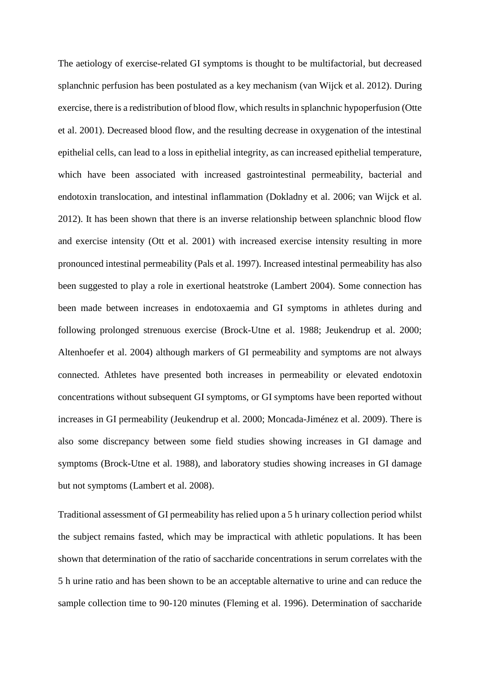The aetiology of exercise-related GI symptoms is thought to be multifactorial, but decreased splanchnic perfusion has been postulated as a key mechanism (van Wijck et al. 2012). During exercise, there is a redistribution of blood flow, which results in splanchnic hypoperfusion (Otte et al. 2001). Decreased blood flow, and the resulting decrease in oxygenation of the intestinal epithelial cells, can lead to a loss in epithelial integrity, as can increased epithelial temperature, which have been associated with increased gastrointestinal permeability, bacterial and endotoxin translocation, and intestinal inflammation (Dokladny et al. 2006; van Wijck et al. 2012). It has been shown that there is an inverse relationship between splanchnic blood flow and exercise intensity (Ott et al. 2001) with increased exercise intensity resulting in more pronounced intestinal permeability (Pals et al. 1997). Increased intestinal permeability has also been suggested to play a role in exertional heatstroke (Lambert 2004). Some connection has been made between increases in endotoxaemia and GI symptoms in athletes during and following prolonged strenuous exercise (Brock-Utne et al. 1988; Jeukendrup et al. 2000; Altenhoefer et al. 2004) although markers of GI permeability and symptoms are not always connected. Athletes have presented both increases in permeability or elevated endotoxin concentrations without subsequent GI symptoms, or GI symptoms have been reported without increases in GI permeability (Jeukendrup et al. 2000; Moncada-Jiménez et al. 2009). There is also some discrepancy between some field studies showing increases in GI damage and symptoms (Brock-Utne et al. 1988), and laboratory studies showing increases in GI damage but not symptoms (Lambert et al. 2008).

Traditional assessment of GI permeability has relied upon a 5 h urinary collection period whilst the subject remains fasted, which may be impractical with athletic populations. It has been shown that determination of the ratio of saccharide concentrations in serum correlates with the 5 h urine ratio and has been shown to be an acceptable alternative to urine and can reduce the sample collection time to 90-120 minutes (Fleming et al. 1996). Determination of saccharide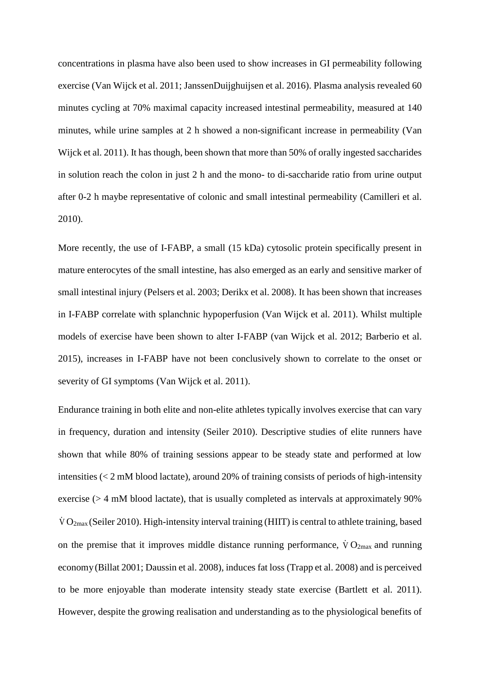concentrations in plasma have also been used to show increases in GI permeability following exercise (Van Wijck et al. 2011; JanssenDuijghuijsen et al. 2016). Plasma analysis revealed 60 minutes cycling at 70% maximal capacity increased intestinal permeability, measured at 140 minutes, while urine samples at 2 h showed a non-significant increase in permeability (Van Wijck et al. 2011). It has though, been shown that more than 50% of orally ingested saccharides in solution reach the colon in just 2 h and the mono- to di-saccharide ratio from urine output after 0-2 h maybe representative of colonic and small intestinal permeability (Camilleri et al. 2010).

More recently, the use of I-FABP, a small (15 kDa) cytosolic protein specifically present in mature enterocytes of the small intestine, has also emerged as an early and sensitive marker of small intestinal injury (Pelsers et al. 2003; Derikx et al. 2008). It has been shown that increases in I-FABP correlate with splanchnic hypoperfusion (Van Wijck et al. 2011). Whilst multiple models of exercise have been shown to alter I-FABP (van Wijck et al. 2012; Barberio et al. 2015), increases in I-FABP have not been conclusively shown to correlate to the onset or severity of GI symptoms (Van Wijck et al. 2011).

Endurance training in both elite and non-elite athletes typically involves exercise that can vary in frequency, duration and intensity (Seiler 2010). Descriptive studies of elite runners have shown that while 80% of training sessions appear to be steady state and performed at low intensities (< 2 mM blood lactate), around 20% of training consists of periods of high-intensity exercise (> 4 mM blood lactate), that is usually completed as intervals at approximately 90%  $VO<sub>2max</sub>$  (Seiler 2010). High-intensity interval training (HIIT) is central to athlete training, based on the premise that it improves middle distance running performance,  $\dot{V}O_{2\text{max}}$  and running economy(Billat 2001; Daussin et al. 2008), induces fat loss (Trapp et al. 2008) and is perceived to be more enjoyable than moderate intensity steady state exercise (Bartlett et al. 2011). However, despite the growing realisation and understanding as to the physiological benefits of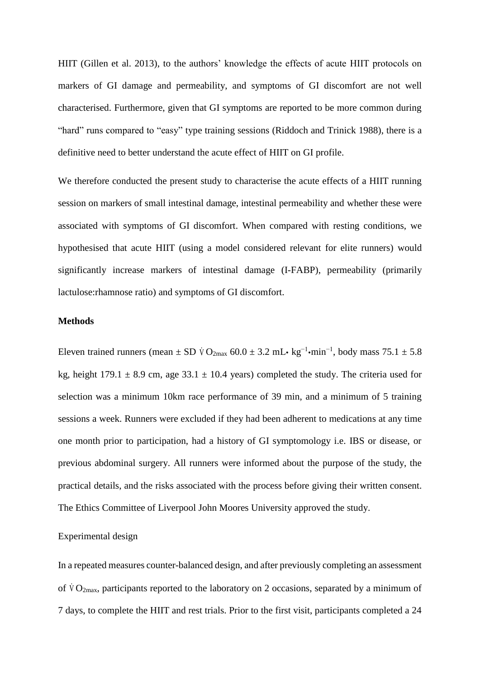HIIT (Gillen et al. 2013), to the authors' knowledge the effects of acute HIIT protocols on markers of GI damage and permeability, and symptoms of GI discomfort are not well characterised. Furthermore, given that GI symptoms are reported to be more common during "hard" runs compared to "easy" type training sessions (Riddoch and Trinick 1988), there is a definitive need to better understand the acute effect of HIIT on GI profile.

We therefore conducted the present study to characterise the acute effects of a HIIT running session on markers of small intestinal damage, intestinal permeability and whether these were associated with symptoms of GI discomfort. When compared with resting conditions, we hypothesised that acute HIIT (using a model considered relevant for elite runners) would significantly increase markers of intestinal damage (I-FABP), permeability (primarily lactulose:rhamnose ratio) and symptoms of GI discomfort.

#### **Methods**

Eleven trained runners (mean  $\pm$  SD VO<sub>2max</sub> 60.0  $\pm$  3.2 mL $\cdot$  kg<sup>-1</sup> $\cdot$ min<sup>-1</sup>, body mass 75.1  $\pm$  5.8 kg, height  $179.1 \pm 8.9$  cm, age  $33.1 \pm 10.4$  years) completed the study. The criteria used for selection was a minimum 10km race performance of 39 min, and a minimum of 5 training sessions a week. Runners were excluded if they had been adherent to medications at any time one month prior to participation, had a history of GI symptomology i.e. IBS or disease, or previous abdominal surgery. All runners were informed about the purpose of the study, the practical details, and the risks associated with the process before giving their written consent. The Ethics Committee of Liverpool John Moores University approved the study.

## Experimental design

In a repeated measures counter-balanced design, and after previously completing an assessment of  $\sqrt{VQ_{2max}}$ , participants reported to the laboratory on 2 occasions, separated by a minimum of 7 days, to complete the HIIT and rest trials. Prior to the first visit, participants completed a 24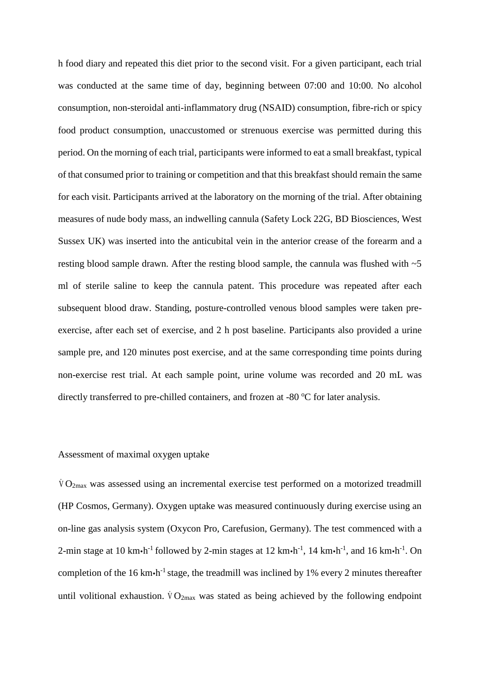h food diary and repeated this diet prior to the second visit. For a given participant, each trial was conducted at the same time of day, beginning between 07:00 and 10:00. No alcohol consumption, non-steroidal anti-inflammatory drug (NSAID) consumption, fibre-rich or spicy food product consumption, unaccustomed or strenuous exercise was permitted during this period. On the morning of each trial, participants were informed to eat a small breakfast, typical of that consumed prior to training or competition and that this breakfast should remain the same for each visit. Participants arrived at the laboratory on the morning of the trial. After obtaining measures of nude body mass, an indwelling cannula (Safety Lock 22G, BD Biosciences, West Sussex UK) was inserted into the anticubital vein in the anterior crease of the forearm and a resting blood sample drawn. After the resting blood sample, the cannula was flushed with  $\sim$  5 ml of sterile saline to keep the cannula patent. This procedure was repeated after each subsequent blood draw. Standing, posture-controlled venous blood samples were taken preexercise, after each set of exercise, and 2 h post baseline. Participants also provided a urine sample pre, and 120 minutes post exercise, and at the same corresponding time points during non-exercise rest trial. At each sample point, urine volume was recorded and 20 mL was directly transferred to pre-chilled containers, and frozen at -80  $^{\circ}$ C for later analysis.

## Assessment of maximal oxygen uptake

 $\rm{VO}_{2max}$  was assessed using an incremental exercise test performed on a motorized treadmill (HP Cosmos, Germany). Oxygen uptake was measured continuously during exercise using an on-line gas analysis system (Oxycon Pro, Carefusion, Germany). The test commenced with a 2-min stage at 10 km $\cdot$ h<sup>-1</sup> followed by 2-min stages at 12 km $\cdot$ h<sup>-1</sup>, 14 km $\cdot$ h<sup>-1</sup>, and 16 km $\cdot$ h<sup>-1</sup>. On completion of the 16 km $\cdot$ h<sup>-1</sup> stage, the treadmill was inclined by 1% every 2 minutes thereafter until volitional exhaustion.  $\dot{V}O_{2\text{max}}$  was stated as being achieved by the following endpoint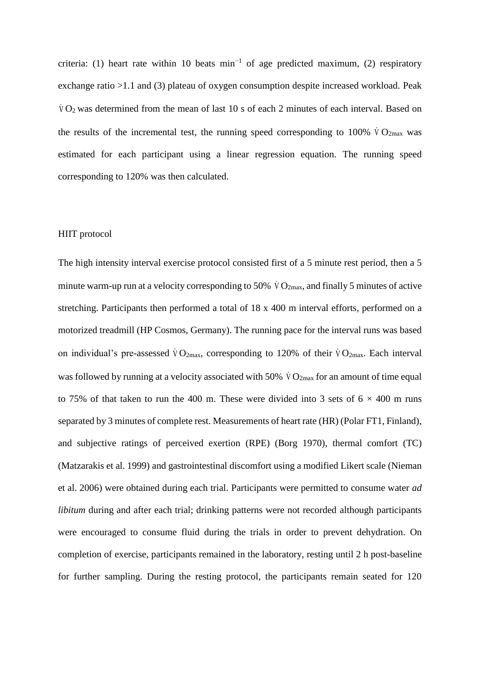criteria: (1) heart rate within 10 beats  $min^{-1}$  of age predicted maximum, (2) respiratory exchange ratio  $>1.1$  and (3) plateau of oxygen consumption despite increased workload. Peak  $\dot{V}O_2$  was determined from the mean of last 10 s of each 2 minutes of each interval. Based on the results of the incremental test, the running speed corresponding to 100%  $\dot{V}O_{2\text{max}}$  was estimated for each participant using a linear regression equation. The running speed corresponding to 120% was then calculated.

### HIIT protocol

The high intensity interval exercise protocol consisted first of a 5 minute rest period, then a 5 minute warm-up run at a velocity corresponding to 50%  $\dot{V}O_{2\text{max}}$ , and finally 5 minutes of active stretching. Participants then performed a total of 18 x 400 m interval efforts, performed on a motorized treadmill (HP Cosmos, Germany). The running pace for the interval runs was based on individual's pre-assessed  $\sqrt{VQ_{2max}}$ , corresponding to 120% of their  $\sqrt{VQ_{2max}}$ . Each interval was followed by running at a velocity associated with 50%  $\dot{V}O_{2\text{max}}$  for an amount of time equal to 75% of that taken to run the 400 m. These were divided into 3 sets of  $6 \times 400$  m runs separated by 3 minutes of complete rest. Measurements of heart rate (HR) (Polar FT1, Finland), and subjective ratings of perceived exertion (RPE) (Borg 1970), thermal comfort (TC) (Matzarakis et al. 1999) and gastrointestinal discomfort using a modified Likert scale (Nieman et al. 2006) were obtained during each trial. Participants were permitted to consume water *ad libitum* during and after each trial; drinking patterns were not recorded although participants were encouraged to consume fluid during the trials in order to prevent dehydration. On completion of exercise, participants remained in the laboratory, resting until 2 h post-baseline for further sampling. During the resting protocol, the participants remain seated for 120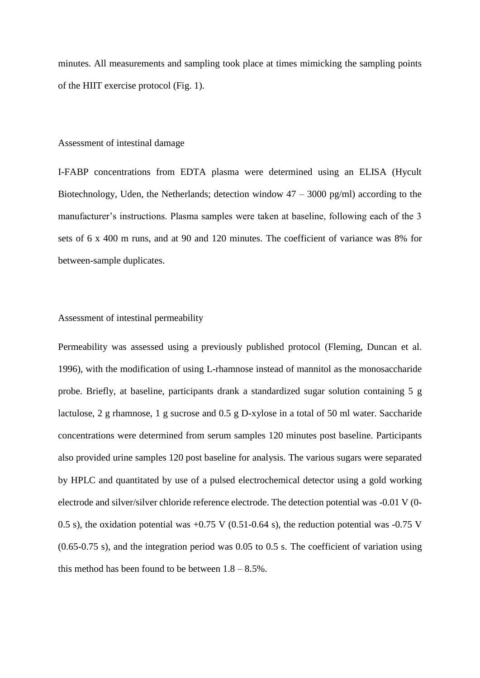minutes. All measurements and sampling took place at times mimicking the sampling points of the HIIT exercise protocol (Fig. 1).

### Assessment of intestinal damage

I-FABP concentrations from EDTA plasma were determined using an ELISA (Hycult Biotechnology, Uden, the Netherlands; detection window  $47 - 3000$  pg/ml) according to the manufacturer's instructions. Plasma samples were taken at baseline, following each of the 3 sets of 6 x 400 m runs, and at 90 and 120 minutes. The coefficient of variance was 8% for between-sample duplicates.

## Assessment of intestinal permeability

Permeability was assessed using a previously published protocol (Fleming, Duncan et al. 1996), with the modification of using L-rhamnose instead of mannitol as the monosaccharide probe. Briefly, at baseline, participants drank a standardized sugar solution containing 5 g lactulose, 2 g rhamnose, 1 g sucrose and 0.5 g D-xylose in a total of 50 ml water. Saccharide concentrations were determined from serum samples 120 minutes post baseline. Participants also provided urine samples 120 post baseline for analysis. The various sugars were separated by HPLC and quantitated by use of a pulsed electrochemical detector using a gold working electrode and silver/silver chloride reference electrode. The detection potential was -0.01 V (0- 0.5 s), the oxidation potential was  $+0.75$  V (0.51-0.64 s), the reduction potential was -0.75 V (0.65-0.75 s), and the integration period was 0.05 to 0.5 s. The coefficient of variation using this method has been found to be between  $1.8 - 8.5\%$ .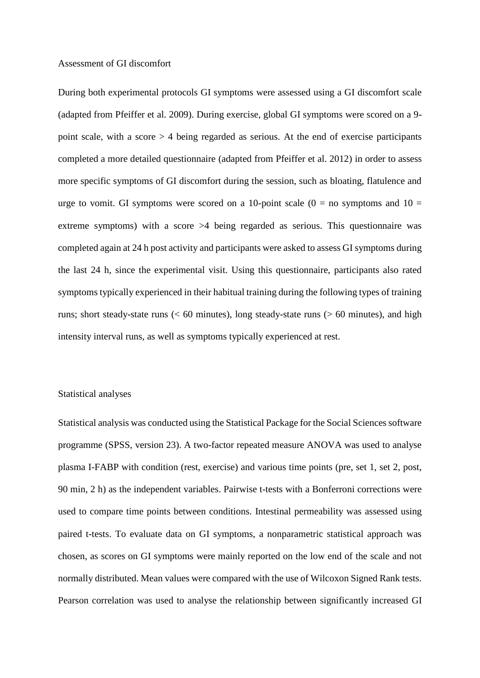#### Assessment of GI discomfort

During both experimental protocols GI symptoms were assessed using a GI discomfort scale (adapted from Pfeiffer et al. 2009). During exercise, global GI symptoms were scored on a 9 point scale, with a score > 4 being regarded as serious. At the end of exercise participants completed a more detailed questionnaire (adapted from Pfeiffer et al. 2012) in order to assess more specific symptoms of GI discomfort during the session, such as bloating, flatulence and urge to vomit. GI symptoms were scored on a 10-point scale  $(0 = no$  symptoms and  $10 =$ extreme symptoms) with a score >4 being regarded as serious. This questionnaire was completed again at 24 h post activity and participants were asked to assess GI symptoms during the last 24 h, since the experimental visit. Using this questionnaire, participants also rated symptoms typically experienced in their habitual training during the following types of training runs; short steady-state runs  $(< 60$  minutes), long steady-state runs  $(> 60$  minutes), and high intensity interval runs, as well as symptoms typically experienced at rest.

#### Statistical analyses

Statistical analysis was conducted using the Statistical Package for the Social Sciences software programme (SPSS, version 23). A two-factor repeated measure ANOVA was used to analyse plasma I-FABP with condition (rest, exercise) and various time points (pre, set 1, set 2, post, 90 min, 2 h) as the independent variables. Pairwise t-tests with a Bonferroni corrections were used to compare time points between conditions. Intestinal permeability was assessed using paired t-tests. To evaluate data on GI symptoms, a nonparametric statistical approach was chosen, as scores on GI symptoms were mainly reported on the low end of the scale and not normally distributed. Mean values were compared with the use of Wilcoxon Signed Rank tests. Pearson correlation was used to analyse the relationship between significantly increased GI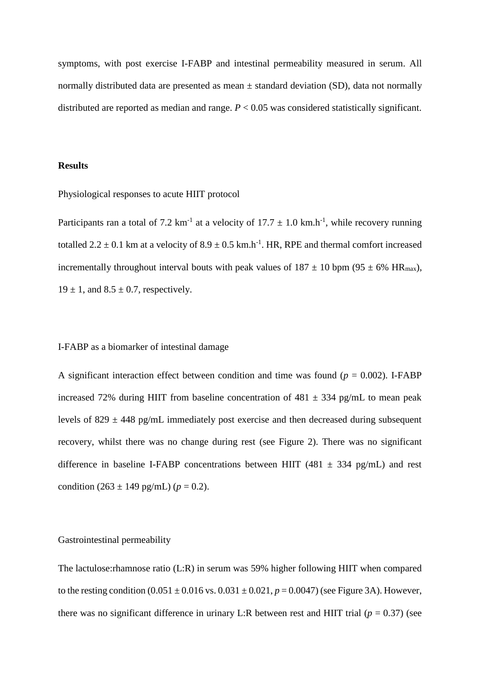symptoms, with post exercise I-FABP and intestinal permeability measured in serum. All normally distributed data are presented as mean  $\pm$  standard deviation (SD), data not normally distributed are reported as median and range. *P* < 0.05 was considered statistically significant.

## **Results**

Physiological responses to acute HIIT protocol

Participants ran a total of 7.2 km<sup>-1</sup> at a velocity of  $17.7 \pm 1.0$  km.h<sup>-1</sup>, while recovery running totalled  $2.2 \pm 0.1$  km at a velocity of  $8.9 \pm 0.5$  km.h<sup>-1</sup>. HR, RPE and thermal comfort increased incrementally throughout interval bouts with peak values of  $187 \pm 10$  bpm (95  $\pm$  6% HR<sub>max</sub>),  $19 \pm 1$ , and  $8.5 \pm 0.7$ , respectively.

#### I-FABP as a biomarker of intestinal damage

A significant interaction effect between condition and time was found ( $p = 0.002$ ). I-FABP increased 72% during HIIT from baseline concentration of  $481 \pm 334$  pg/mL to mean peak levels of  $829 \pm 448$  pg/mL immediately post exercise and then decreased during subsequent recovery, whilst there was no change during rest (see Figure 2). There was no significant difference in baseline I-FABP concentrations between HIIT (481  $\pm$  334 pg/mL) and rest condition  $(263 \pm 149 \text{ pg/mL})$  ( $p = 0.2$ ).

#### Gastrointestinal permeability

The lactulose:rhamnose ratio (L:R) in serum was 59% higher following HIIT when compared to the resting condition  $(0.051 \pm 0.016 \text{ vs. } 0.031 \pm 0.021, p = 0.0047)$  (see Figure 3A). However, there was no significant difference in urinary L:R between rest and HIIT trial ( $p = 0.37$ ) (see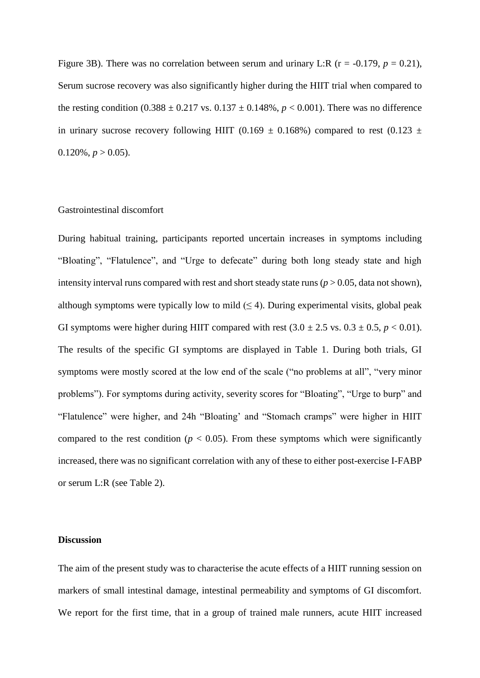Figure 3B). There was no correlation between serum and urinary L:R ( $r = -0.179$ ,  $p = 0.21$ ), Serum sucrose recovery was also significantly higher during the HIIT trial when compared to the resting condition  $(0.388 \pm 0.217 \text{ vs. } 0.137 \pm 0.148\% , p < 0.001)$ . There was no difference in urinary sucrose recovery following HIIT (0.169  $\pm$  0.168%) compared to rest (0.123  $\pm$  $0.120\%, p > 0.05$ ).

### Gastrointestinal discomfort

During habitual training, participants reported uncertain increases in symptoms including "Bloating", "Flatulence", and "Urge to defecate" during both long steady state and high intensity interval runs compared with rest and short steady state runs  $(p > 0.05$ , data not shown), although symptoms were typically low to mild  $(\leq 4)$ . During experimental visits, global peak GI symptoms were higher during HIIT compared with rest  $(3.0 \pm 2.5 \text{ vs. } 0.3 \pm 0.5, p < 0.01)$ . The results of the specific GI symptoms are displayed in Table 1. During both trials, GI symptoms were mostly scored at the low end of the scale ("no problems at all", "very minor problems"). For symptoms during activity, severity scores for "Bloating", "Urge to burp" and "Flatulence" were higher, and 24h "Bloating' and "Stomach cramps" were higher in HIIT compared to the rest condition ( $p < 0.05$ ). From these symptoms which were significantly increased, there was no significant correlation with any of these to either post-exercise I-FABP or serum L:R (see Table 2).

## **Discussion**

The aim of the present study was to characterise the acute effects of a HIIT running session on markers of small intestinal damage, intestinal permeability and symptoms of GI discomfort. We report for the first time, that in a group of trained male runners, acute HIIT increased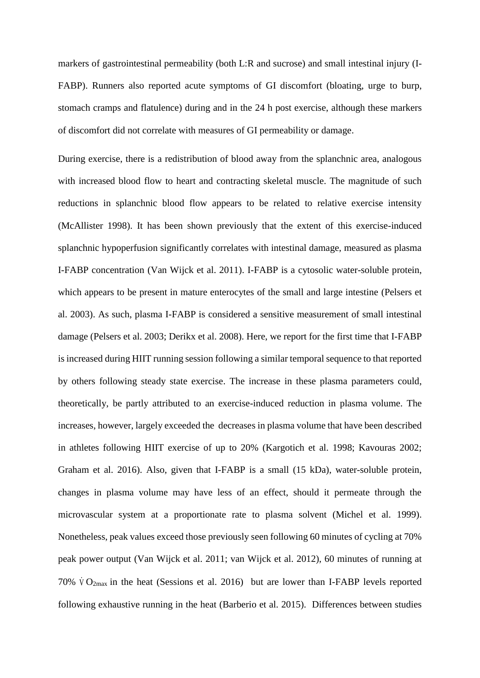markers of gastrointestinal permeability (both L:R and sucrose) and small intestinal injury (I-FABP). Runners also reported acute symptoms of GI discomfort (bloating, urge to burp, stomach cramps and flatulence) during and in the 24 h post exercise, although these markers of discomfort did not correlate with measures of GI permeability or damage.

During exercise, there is a redistribution of blood away from the splanchnic area, analogous with increased blood flow to heart and contracting skeletal muscle. The magnitude of such reductions in splanchnic blood flow appears to be related to relative exercise intensity (McAllister 1998). It has been shown previously that the extent of this exercise-induced splanchnic hypoperfusion significantly correlates with intestinal damage, measured as plasma I-FABP concentration (Van Wijck et al. 2011). I-FABP is a cytosolic water-soluble protein, which appears to be present in mature enterocytes of the small and large intestine (Pelsers et al. 2003). As such, plasma I-FABP is considered a sensitive measurement of small intestinal damage (Pelsers et al. 2003; Derikx et al. 2008). Here, we report for the first time that I-FABP is increased during HIIT running session following a similar temporal sequence to that reported by others following steady state exercise. The increase in these plasma parameters could, theoretically, be partly attributed to an exercise-induced reduction in plasma volume. The increases, however, largely exceeded the decreases in plasma volume that have been described in athletes following HIIT exercise of up to 20% (Kargotich et al. 1998; Kavouras 2002; Graham et al. 2016). Also, given that I-FABP is a small (15 kDa), water-soluble protein, changes in plasma volume may have less of an effect, should it permeate through the microvascular system at a proportionate rate to plasma solvent (Michel et al. 1999). Nonetheless, peak values exceed those previously seen following 60 minutes of cycling at 70% peak power output (Van Wijck et al. 2011; van Wijck et al. 2012), 60 minutes of running at 70%  $\dot{V}O_{2\text{max}}$  in the heat (Sessions et al. 2016) but are lower than I-FABP levels reported following exhaustive running in the heat (Barberio et al. 2015). Differences between studies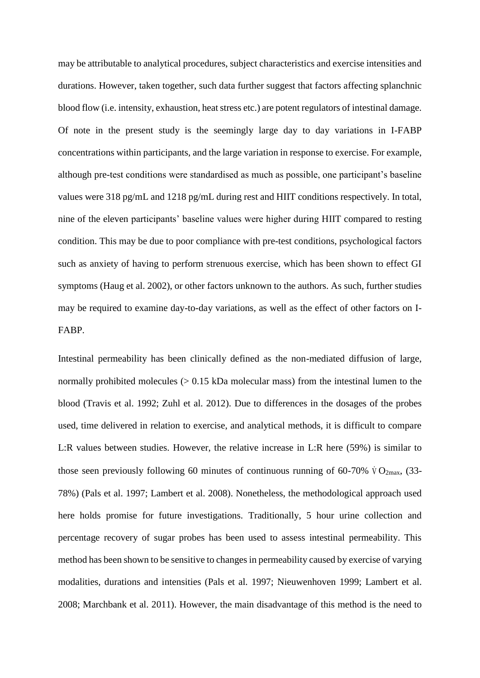may be attributable to analytical procedures, subject characteristics and exercise intensities and durations. However, taken together, such data further suggest that factors affecting splanchnic blood flow (i.e. intensity, exhaustion, heat stress etc.) are potent regulators of intestinal damage. Of note in the present study is the seemingly large day to day variations in I-FABP concentrations within participants, and the large variation in response to exercise. For example, although pre-test conditions were standardised as much as possible, one participant's baseline values were 318 pg/mL and 1218 pg/mL during rest and HIIT conditions respectively. In total, nine of the eleven participants' baseline values were higher during HIIT compared to resting condition. This may be due to poor compliance with pre-test conditions, psychological factors such as anxiety of having to perform strenuous exercise, which has been shown to effect GI symptoms (Haug et al. 2002), or other factors unknown to the authors. As such, further studies may be required to examine day-to-day variations, as well as the effect of other factors on I-FABP.

Intestinal permeability has been clinically defined as the non-mediated diffusion of large, normally prohibited molecules ( $> 0.15$  kDa molecular mass) from the intestinal lumen to the blood (Travis et al. 1992; Zuhl et al. 2012). Due to differences in the dosages of the probes used, time delivered in relation to exercise, and analytical methods, it is difficult to compare L:R values between studies. However, the relative increase in L:R here (59%) is similar to those seen previously following 60 minutes of continuous running of 60-70%  $\dot{V}O_{2\text{max}}$ , (33-78%) (Pals et al. 1997; Lambert et al. 2008). Nonetheless, the methodological approach used here holds promise for future investigations. Traditionally, 5 hour urine collection and percentage recovery of sugar probes has been used to assess intestinal permeability. This method has been shown to be sensitive to changes in permeability caused by exercise of varying modalities, durations and intensities (Pals et al. 1997; Nieuwenhoven 1999; Lambert et al. 2008; Marchbank et al. 2011). However, the main disadvantage of this method is the need to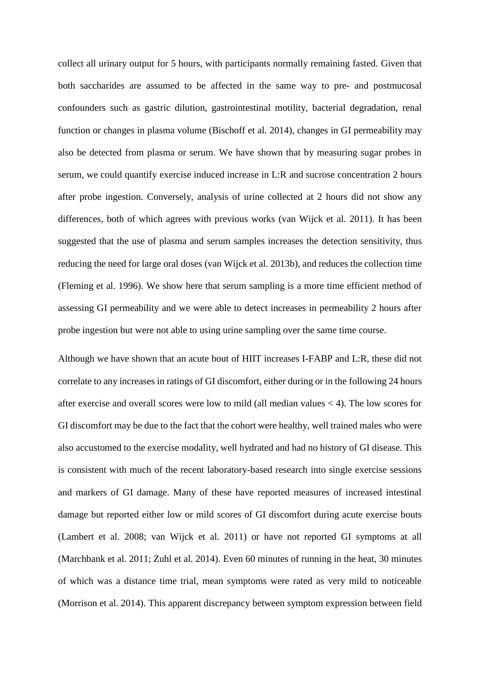collect all urinary output for 5 hours, with participants normally remaining fasted. Given that both saccharides are assumed to be affected in the same way to pre- and postmucosal confounders such as gastric dilution, gastrointestinal motility, bacterial degradation, renal function or changes in plasma volume (Bischoff et al. 2014), changes in GI permeability may also be detected from plasma or serum. We have shown that by measuring sugar probes in serum, we could quantify exercise induced increase in L:R and sucrose concentration 2 hours after probe ingestion. Conversely, analysis of urine collected at 2 hours did not show any differences, both of which agrees with previous works (van Wijck et al. 2011). It has been suggested that the use of plasma and serum samples increases the detection sensitivity, thus reducing the need for large oral doses (van Wijck et al. 2013b), and reduces the collection time (Fleming et al. 1996). We show here that serum sampling is a more time efficient method of assessing GI permeability and we were able to detect increases in permeability 2 hours after probe ingestion but were not able to using urine sampling over the same time course.

Although we have shown that an acute bout of HIIT increases I-FABP and L:R, these did not correlate to any increases in ratings of GI discomfort, either during or in the following 24 hours after exercise and overall scores were low to mild (all median values  $<$  4). The low scores for GI discomfort may be due to the fact that the cohort were healthy, well trained males who were also accustomed to the exercise modality, well hydrated and had no history of GI disease. This is consistent with much of the recent laboratory-based research into single exercise sessions and markers of GI damage. Many of these have reported measures of increased intestinal damage but reported either low or mild scores of GI discomfort during acute exercise bouts (Lambert et al. 2008; van Wijck et al. 2011) or have not reported GI symptoms at all (Marchbank et al. 2011; Zuhl et al. 2014). Even 60 minutes of running in the heat, 30 minutes of which was a distance time trial, mean symptoms were rated as very mild to noticeable (Morrison et al. 2014). This apparent discrepancy between symptom expression between field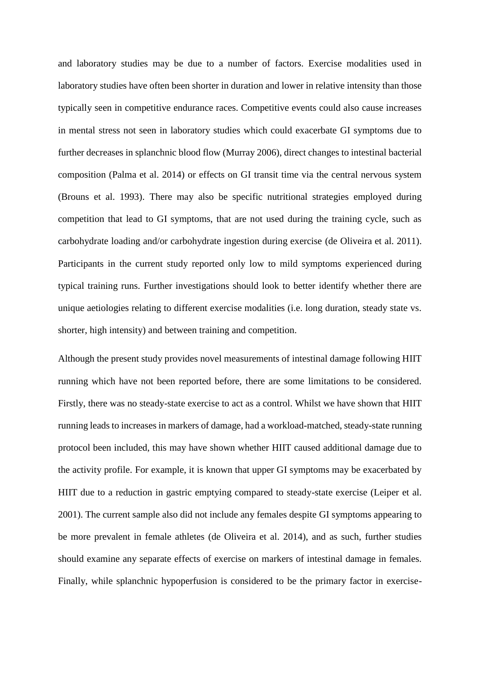and laboratory studies may be due to a number of factors. Exercise modalities used in laboratory studies have often been shorter in duration and lower in relative intensity than those typically seen in competitive endurance races. Competitive events could also cause increases in mental stress not seen in laboratory studies which could exacerbate GI symptoms due to further decreases in splanchnic blood flow (Murray 2006), direct changes to intestinal bacterial composition (Palma et al. 2014) or effects on GI transit time via the central nervous system (Brouns et al. 1993). There may also be specific nutritional strategies employed during competition that lead to GI symptoms, that are not used during the training cycle, such as carbohydrate loading and/or carbohydrate ingestion during exercise (de Oliveira et al. 2011). Participants in the current study reported only low to mild symptoms experienced during typical training runs. Further investigations should look to better identify whether there are unique aetiologies relating to different exercise modalities (i.e. long duration, steady state vs. shorter, high intensity) and between training and competition.

Although the present study provides novel measurements of intestinal damage following HIIT running which have not been reported before, there are some limitations to be considered. Firstly, there was no steady-state exercise to act as a control. Whilst we have shown that HIIT running leads to increases in markers of damage, had a workload-matched, steady-state running protocol been included, this may have shown whether HIIT caused additional damage due to the activity profile. For example, it is known that upper GI symptoms may be exacerbated by HIIT due to a reduction in gastric emptying compared to steady-state exercise (Leiper et al. 2001). The current sample also did not include any females despite GI symptoms appearing to be more prevalent in female athletes (de Oliveira et al. 2014), and as such, further studies should examine any separate effects of exercise on markers of intestinal damage in females. Finally, while splanchnic hypoperfusion is considered to be the primary factor in exercise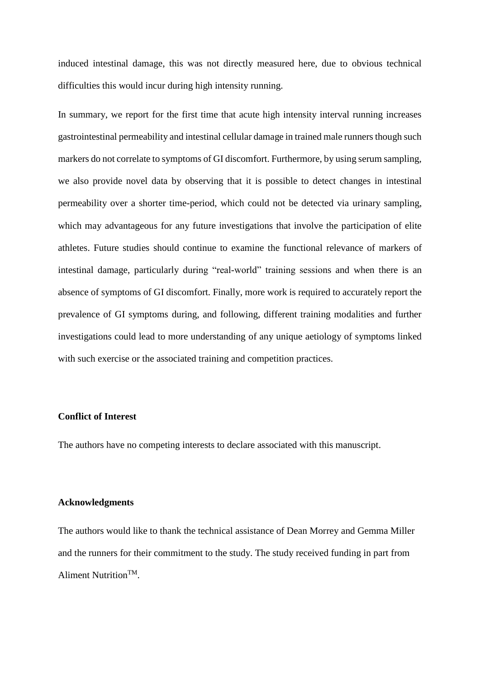induced intestinal damage, this was not directly measured here, due to obvious technical difficulties this would incur during high intensity running.

In summary, we report for the first time that acute high intensity interval running increases gastrointestinal permeability and intestinal cellular damage in trained male runners though such markers do not correlate to symptoms of GI discomfort. Furthermore, by using serum sampling, we also provide novel data by observing that it is possible to detect changes in intestinal permeability over a shorter time-period, which could not be detected via urinary sampling, which may advantageous for any future investigations that involve the participation of elite athletes. Future studies should continue to examine the functional relevance of markers of intestinal damage, particularly during "real-world" training sessions and when there is an absence of symptoms of GI discomfort. Finally, more work is required to accurately report the prevalence of GI symptoms during, and following, different training modalities and further investigations could lead to more understanding of any unique aetiology of symptoms linked with such exercise or the associated training and competition practices.

## **Conflict of Interest**

The authors have no competing interests to declare associated with this manuscript.

#### **Acknowledgments**

The authors would like to thank the technical assistance of Dean Morrey and Gemma Miller and the runners for their commitment to the study. The study received funding in part from Aliment Nutrition<sup>TM</sup>.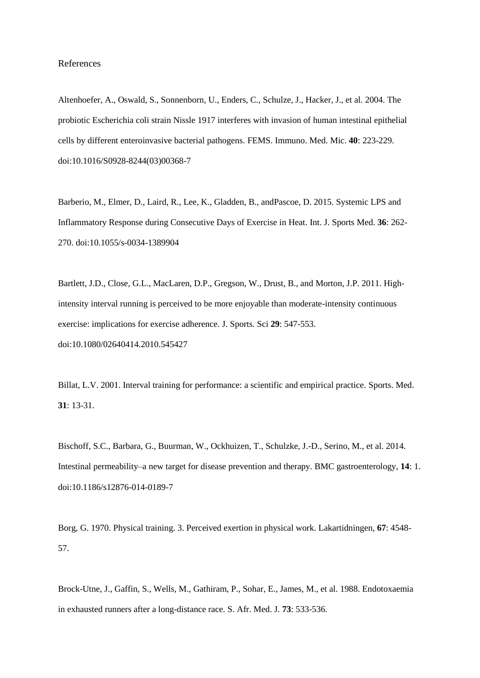References

Altenhoefer, A., Oswald, S., Sonnenborn, U., Enders, C., Schulze, J., Hacker, J., et al. 2004. The probiotic Escherichia coli strain Nissle 1917 interferes with invasion of human intestinal epithelial cells by different enteroinvasive bacterial pathogens. FEMS. Immuno. Med. Mic. **40**: 223-229. doi:10.1016/S0928-8244(03)00368-7

Barberio, M., Elmer, D., Laird, R., Lee, K., Gladden, B., andPascoe, D. 2015. Systemic LPS and Inflammatory Response during Consecutive Days of Exercise in Heat. Int. J. Sports Med. **36**: 262- 270. doi:10.1055/s-0034-1389904

Bartlett, J.D., Close, G.L., MacLaren, D.P., Gregson, W., Drust, B., and Morton, J.P. 2011. Highintensity interval running is perceived to be more enjoyable than moderate-intensity continuous exercise: implications for exercise adherence. J. Sports. Sci **29**: 547-553. doi:10.1080/02640414.2010.545427

Billat, L.V. 2001. Interval training for performance: a scientific and empirical practice. Sports. Med. **31**: 13-31.

Bischoff, S.C., Barbara, G., Buurman, W., Ockhuizen, T., Schulzke, J.-D., Serino, M., et al. 2014. Intestinal permeability–a new target for disease prevention and therapy. BMC gastroenterology, **14**: 1. doi:10.1186/s12876-014-0189-7

Borg, G. 1970. Physical training. 3. Perceived exertion in physical work. Lakartidningen, **67**: 4548- 57.

Brock-Utne, J., Gaffin, S., Wells, M., Gathiram, P., Sohar, E., James, M., et al. 1988. Endotoxaemia in exhausted runners after a long-distance race. S. Afr. Med. J. **73**: 533-536.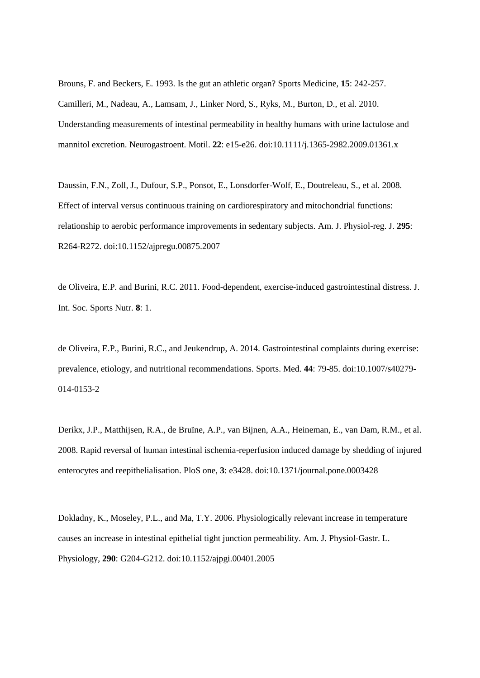Brouns, F. and Beckers, E. 1993. Is the gut an athletic organ? Sports Medicine, **15**: 242-257. Camilleri, M., Nadeau, A., Lamsam, J., Linker Nord, S., Ryks, M., Burton, D., et al. 2010. Understanding measurements of intestinal permeability in healthy humans with urine lactulose and mannitol excretion. Neurogastroent. Motil. **22**: e15-e26. doi:10.1111/j.1365-2982.2009.01361.x

Daussin, F.N., Zoll, J., Dufour, S.P., Ponsot, E., Lonsdorfer-Wolf, E., Doutreleau, S., et al. 2008. Effect of interval versus continuous training on cardiorespiratory and mitochondrial functions: relationship to aerobic performance improvements in sedentary subjects. Am. J. Physiol-reg. J. **295**: R264-R272. doi:10.1152/ajpregu.00875.2007

de Oliveira, E.P. and Burini, R.C. 2011. Food-dependent, exercise-induced gastrointestinal distress. J. Int. Soc. Sports Nutr. **8**: 1.

de Oliveira, E.P., Burini, R.C., and Jeukendrup, A. 2014. Gastrointestinal complaints during exercise: prevalence, etiology, and nutritional recommendations. Sports. Med. **44**: 79-85. doi:10.1007/s40279- 014-0153-2

Derikx, J.P., Matthijsen, R.A., de Bruïne, A.P., van Bijnen, A.A., Heineman, E., van Dam, R.M., et al. 2008. Rapid reversal of human intestinal ischemia-reperfusion induced damage by shedding of injured enterocytes and reepithelialisation. PloS one, **3**: e3428. doi:10.1371/journal.pone.0003428

Dokladny, K., Moseley, P.L., and Ma, T.Y. 2006. Physiologically relevant increase in temperature causes an increase in intestinal epithelial tight junction permeability. Am. J. Physiol-Gastr. L. Physiology, **290**: G204-G212. doi:10.1152/ajpgi.00401.2005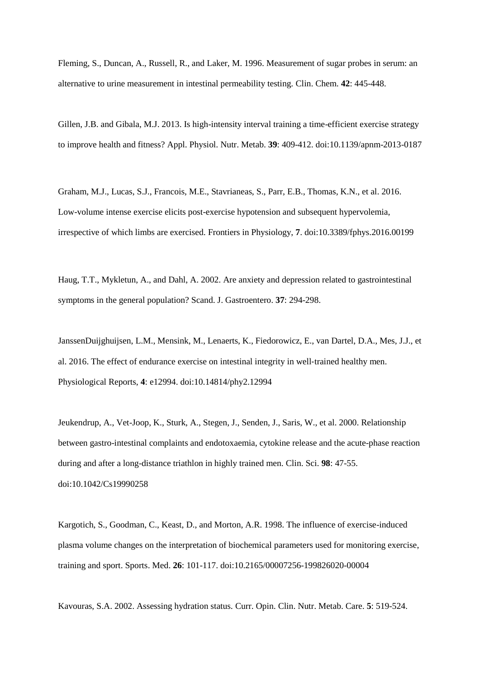Fleming, S., Duncan, A., Russell, R., and Laker, M. 1996. Measurement of sugar probes in serum: an alternative to urine measurement in intestinal permeability testing. Clin. Chem. **42**: 445-448.

Gillen, J.B. and Gibala, M.J. 2013. Is high-intensity interval training a time-efficient exercise strategy to improve health and fitness? Appl. Physiol. Nutr. Metab. **39**: 409-412. doi:10.1139/apnm-2013-0187

Graham, M.J., Lucas, S.J., Francois, M.E., Stavrianeas, S., Parr, E.B., Thomas, K.N., et al. 2016. Low-volume intense exercise elicits post-exercise hypotension and subsequent hypervolemia, irrespective of which limbs are exercised. Frontiers in Physiology, **7**. doi:10.3389/fphys.2016.00199

Haug, T.T., Mykletun, A., and Dahl, A. 2002. Are anxiety and depression related to gastrointestinal symptoms in the general population? Scand. J. Gastroentero. **37**: 294-298.

JanssenDuijghuijsen, L.M., Mensink, M., Lenaerts, K., Fiedorowicz, E., van Dartel, D.A., Mes, J.J., et al. 2016. The effect of endurance exercise on intestinal integrity in well‐trained healthy men. Physiological Reports, **4**: e12994. doi:10.14814/phy2.12994

Jeukendrup, A., Vet-Joop, K., Sturk, A., Stegen, J., Senden, J., Saris, W., et al. 2000. Relationship between gastro-intestinal complaints and endotoxaemia, cytokine release and the acute-phase reaction during and after a long-distance triathlon in highly trained men. Clin. Sci. **98**: 47-55. doi:10.1042/Cs19990258

Kargotich, S., Goodman, C., Keast, D., and Morton, A.R. 1998. The influence of exercise-induced plasma volume changes on the interpretation of biochemical parameters used for monitoring exercise, training and sport. Sports. Med. **26**: 101-117. doi:10.2165/00007256-199826020-00004

Kavouras, S.A. 2002. Assessing hydration status. Curr. Opin. Clin. Nutr. Metab. Care. **5**: 519-524.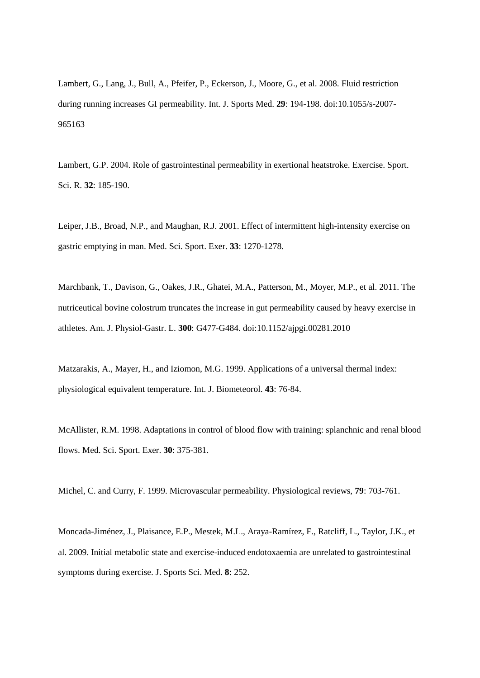Lambert, G., Lang, J., Bull, A., Pfeifer, P., Eckerson, J., Moore, G., et al. 2008. Fluid restriction during running increases GI permeability. Int. J. Sports Med. **29**: 194-198. doi:10.1055/s-2007- 965163

Lambert, G.P. 2004. Role of gastrointestinal permeability in exertional heatstroke. Exercise. Sport. Sci. R. **32**: 185-190.

Leiper, J.B., Broad, N.P., and Maughan, R.J. 2001. Effect of intermittent high-intensity exercise on gastric emptying in man. Med. Sci. Sport. Exer. **33**: 1270-1278.

Marchbank, T., Davison, G., Oakes, J.R., Ghatei, M.A., Patterson, M., Moyer, M.P., et al. 2011. The nutriceutical bovine colostrum truncates the increase in gut permeability caused by heavy exercise in athletes. Am. J. Physiol-Gastr. L. **300**: G477-G484. doi:10.1152/ajpgi.00281.2010

Matzarakis, A., Mayer, H., and Iziomon, M.G. 1999. Applications of a universal thermal index: physiological equivalent temperature. Int. J. Biometeorol. **43**: 76-84.

McAllister, R.M. 1998. Adaptations in control of blood flow with training: splanchnic and renal blood flows. Med. Sci. Sport. Exer. **30**: 375-381.

Michel, C. and Curry, F. 1999. Microvascular permeability. Physiological reviews, **79**: 703-761.

Moncada-Jiménez, J., Plaisance, E.P., Mestek, M.L., Araya-Ramírez, F., Ratcliff, L., Taylor, J.K., et al. 2009. Initial metabolic state and exercise-induced endotoxaemia are unrelated to gastrointestinal symptoms during exercise. J. Sports Sci. Med. **8**: 252.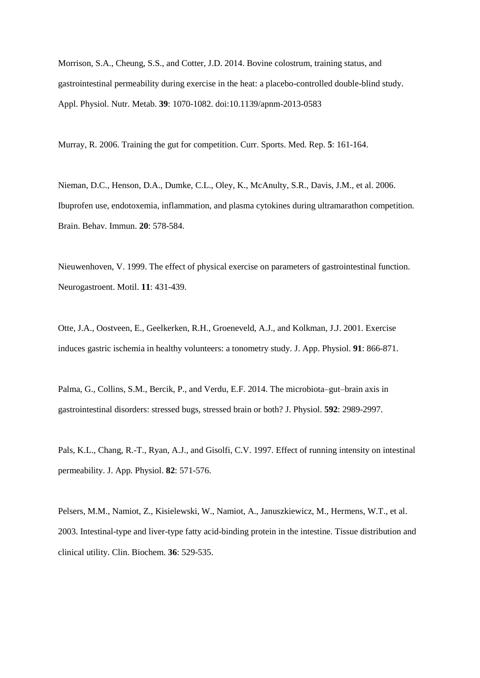Morrison, S.A., Cheung, S.S., and Cotter, J.D. 2014. Bovine colostrum, training status, and gastrointestinal permeability during exercise in the heat: a placebo-controlled double-blind study. Appl. Physiol. Nutr. Metab. **39**: 1070-1082. doi:10.1139/apnm-2013-0583

Murray, R. 2006. Training the gut for competition. Curr. Sports. Med. Rep. **5**: 161-164.

Nieman, D.C., Henson, D.A., Dumke, C.L., Oley, K., McAnulty, S.R., Davis, J.M., et al. 2006. Ibuprofen use, endotoxemia, inflammation, and plasma cytokines during ultramarathon competition. Brain. Behav. Immun. **20**: 578-584.

Nieuwenhoven, V. 1999. The effect of physical exercise on parameters of gastrointestinal function. Neurogastroent. Motil. **11**: 431-439.

Otte, J.A., Oostveen, E., Geelkerken, R.H., Groeneveld, A.J., and Kolkman, J.J. 2001. Exercise induces gastric ischemia in healthy volunteers: a tonometry study. J. App. Physiol. **91**: 866-871.

Palma, G., Collins, S.M., Bercik, P., and Verdu, E.F. 2014. The microbiota–gut–brain axis in gastrointestinal disorders: stressed bugs, stressed brain or both? J. Physiol. **592**: 2989-2997.

Pals, K.L., Chang, R.-T., Ryan, A.J., and Gisolfi, C.V. 1997. Effect of running intensity on intestinal permeability. J. App. Physiol. **82**: 571-576.

Pelsers, M.M., Namiot, Z., Kisielewski, W., Namiot, A., Januszkiewicz, M., Hermens, W.T., et al. 2003. Intestinal-type and liver-type fatty acid-binding protein in the intestine. Tissue distribution and clinical utility. Clin. Biochem. **36**: 529-535.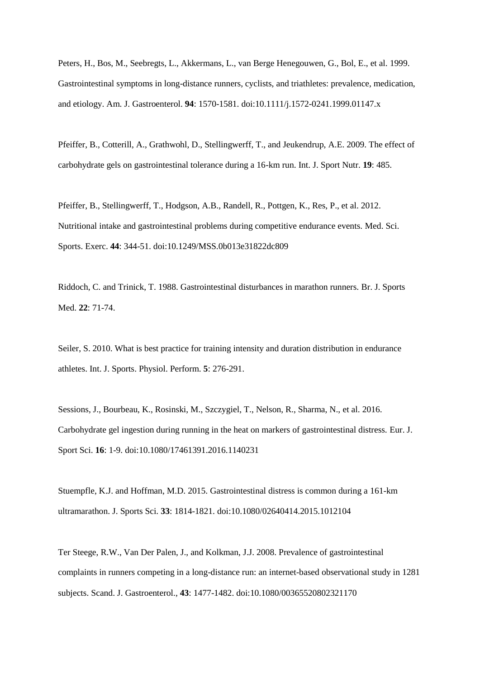Peters, H., Bos, M., Seebregts, L., Akkermans, L., van Berge Henegouwen, G., Bol, E., et al. 1999. Gastrointestinal symptoms in long-distance runners, cyclists, and triathletes: prevalence, medication, and etiology. Am. J. Gastroenterol. **94**: 1570-1581. doi:10.1111/j.1572-0241.1999.01147.x

Pfeiffer, B., Cotterill, A., Grathwohl, D., Stellingwerff, T., and Jeukendrup, A.E. 2009. The effect of carbohydrate gels on gastrointestinal tolerance during a 16-km run. Int. J. Sport Nutr. **19**: 485.

Pfeiffer, B., Stellingwerff, T., Hodgson, A.B., Randell, R., Pottgen, K., Res, P., et al. 2012. Nutritional intake and gastrointestinal problems during competitive endurance events. Med. Sci. Sports. Exerc. **44**: 344-51. doi:10.1249/MSS.0b013e31822dc809

Riddoch, C. and Trinick, T. 1988. Gastrointestinal disturbances in marathon runners. Br. J. Sports Med. **22**: 71-74.

Seiler, S. 2010. What is best practice for training intensity and duration distribution in endurance athletes. Int. J. Sports. Physiol. Perform. **5**: 276-291.

Sessions, J., Bourbeau, K., Rosinski, M., Szczygiel, T., Nelson, R., Sharma, N., et al. 2016. Carbohydrate gel ingestion during running in the heat on markers of gastrointestinal distress. Eur. J. Sport Sci. **16**: 1-9. doi:10.1080/17461391.2016.1140231

Stuempfle, K.J. and Hoffman, M.D. 2015. Gastrointestinal distress is common during a 161-km ultramarathon. J. Sports Sci. **33**: 1814-1821. doi:10.1080/02640414.2015.1012104

Ter Steege, R.W., Van Der Palen, J., and Kolkman, J.J. 2008. Prevalence of gastrointestinal complaints in runners competing in a long-distance run: an internet-based observational study in 1281 subjects. Scand. J. Gastroenterol., **43**: 1477-1482. doi:10.1080/00365520802321170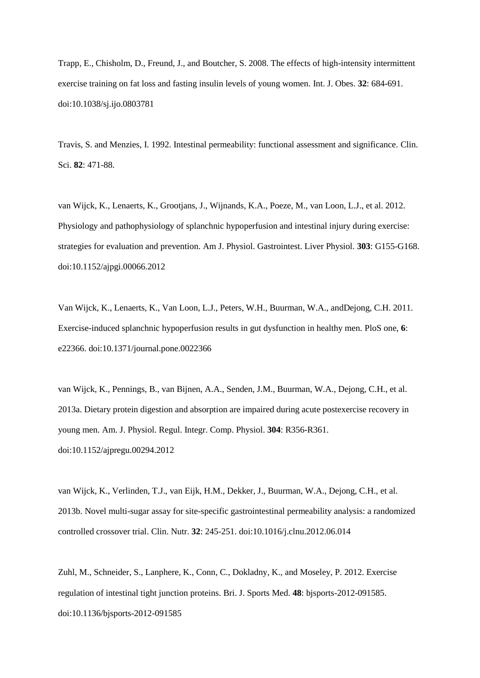Trapp, E., Chisholm, D., Freund, J., and Boutcher, S. 2008. The effects of high-intensity intermittent exercise training on fat loss and fasting insulin levels of young women. Int. J. Obes. **32**: 684-691. doi:10.1038/sj.ijo.0803781

Travis, S. and Menzies, I. 1992. Intestinal permeability: functional assessment and significance. Clin. Sci. **82**: 471-88.

van Wijck, K., Lenaerts, K., Grootjans, J., Wijnands, K.A., Poeze, M., van Loon, L.J., et al. 2012. Physiology and pathophysiology of splanchnic hypoperfusion and intestinal injury during exercise: strategies for evaluation and prevention. Am J. Physiol. Gastrointest. Liver Physiol. **303**: G155-G168. doi:10.1152/ajpgi.00066.2012

Van Wijck, K., Lenaerts, K., Van Loon, L.J., Peters, W.H., Buurman, W.A., andDejong, C.H. 2011. Exercise-induced splanchnic hypoperfusion results in gut dysfunction in healthy men. PloS one, **6**: e22366. doi:10.1371/journal.pone.0022366

van Wijck, K., Pennings, B., van Bijnen, A.A., Senden, J.M., Buurman, W.A., Dejong, C.H., et al. 2013a. Dietary protein digestion and absorption are impaired during acute postexercise recovery in young men. Am. J. Physiol. Regul. Integr. Comp. Physiol. **304**: R356-R361. doi:10.1152/ajpregu.00294.2012

van Wijck, K., Verlinden, T.J., van Eijk, H.M., Dekker, J., Buurman, W.A., Dejong, C.H., et al. 2013b. Novel multi-sugar assay for site-specific gastrointestinal permeability analysis: a randomized controlled crossover trial. Clin. Nutr. **32**: 245-251. doi:10.1016/j.clnu.2012.06.014

Zuhl, M., Schneider, S., Lanphere, K., Conn, C., Dokladny, K., and Moseley, P. 2012. Exercise regulation of intestinal tight junction proteins. Bri. J. Sports Med. **48**: bjsports-2012-091585. doi:10.1136/bjsports-2012-091585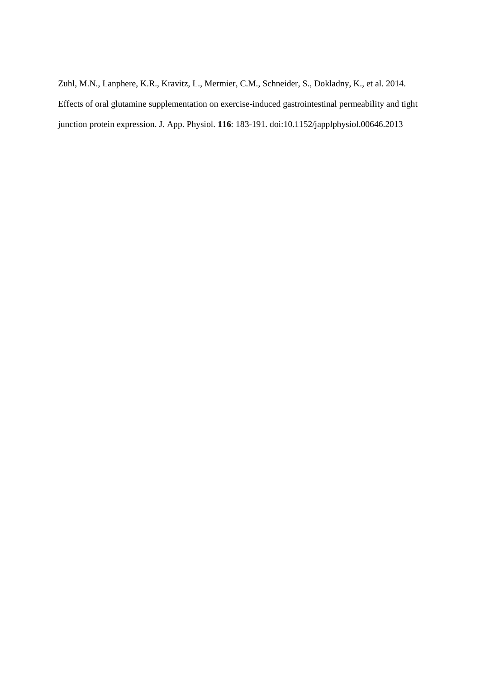Zuhl, M.N., Lanphere, K.R., Kravitz, L., Mermier, C.M., Schneider, S., Dokladny, K., et al. 2014. Effects of oral glutamine supplementation on exercise-induced gastrointestinal permeability and tight junction protein expression. J. App. Physiol. **116**: 183-191. doi:10.1152/japplphysiol.00646.2013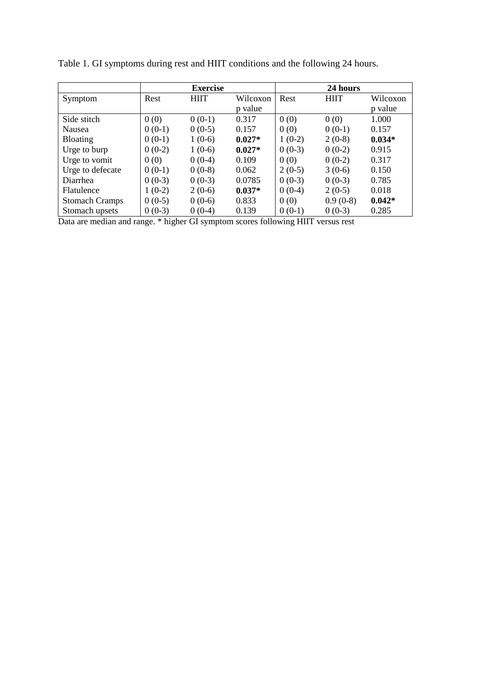|                       |          | <b>Exercise</b> |          |          | 24 hours    |          |
|-----------------------|----------|-----------------|----------|----------|-------------|----------|
| Symptom               | Rest     | <b>HIIT</b>     | Wilcoxon | Rest     | <b>HIIT</b> | Wilcoxon |
|                       |          |                 | p value  |          |             | p value  |
| Side stitch           | 0(0)     | $0(0-1)$        | 0.317    | 0(0)     | 0(0)        | 1.000    |
| Nausea                | $0(0-1)$ | $0(0-5)$        | 0.157    | 0(0)     | $0(0-1)$    | 0.157    |
| <b>Bloating</b>       | $0(0-1)$ | $1(0-6)$        | $0.027*$ | $1(0-2)$ | $2(0-8)$    | $0.034*$ |
| Urge to burp          | $0(0-2)$ | $1(0-6)$        | $0.027*$ | $0(0-3)$ | $0(0-2)$    | 0.915    |
| Urge to vomit         | 0(0)     | $0(0-4)$        | 0.109    | 0(0)     | $0(0-2)$    | 0.317    |
| Urge to defecate      | $0(0-1)$ | $0(0-8)$        | 0.062    | $2(0-5)$ | $3(0-6)$    | 0.150    |
| Diarrhea              | $0(0-3)$ | $0(0-3)$        | 0.0785   | $0(0-3)$ | $0(0-3)$    | 0.785    |
| Flatulence            | $1(0-2)$ | $2(0-6)$        | $0.037*$ | $0(0-4)$ | $2(0-5)$    | 0.018    |
| <b>Stomach Cramps</b> | $0(0-5)$ | $0(0-6)$        | 0.833    | 0(0)     | $0.9(0-8)$  | $0.042*$ |
| Stomach upsets        | $0(0-3)$ | $0(0-4)$        | 0.139    | $0(0-1)$ | $0(0-3)$    | 0.285    |

Table 1. GI symptoms during rest and HIIT conditions and the following 24 hours.

Data are median and range. \* higher GI symptom scores following HIIT versus rest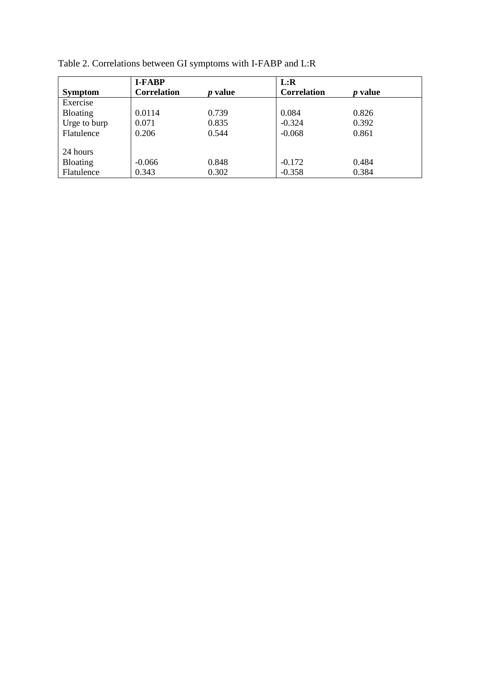|                 | <b>I-FABP</b>      |                | L:R                |                |
|-----------------|--------------------|----------------|--------------------|----------------|
| <b>Symptom</b>  | <b>Correlation</b> | <i>p</i> value | <b>Correlation</b> | <i>p</i> value |
| Exercise        |                    |                |                    |                |
| <b>Bloating</b> | 0.0114             | 0.739          | 0.084              | 0.826          |
| Urge to burp    | 0.071              | 0.835          | $-0.324$           | 0.392          |
| Flatulence      | 0.206              | 0.544          | $-0.068$           | 0.861          |
|                 |                    |                |                    |                |
| 24 hours        |                    |                |                    |                |
| <b>Bloating</b> | $-0.066$           | 0.848          | $-0.172$           | 0.484          |
| Flatulence      | 0.343              | 0.302          | $-0.358$           | 0.384          |

Table 2. Correlations between GI symptoms with I-FABP and L:R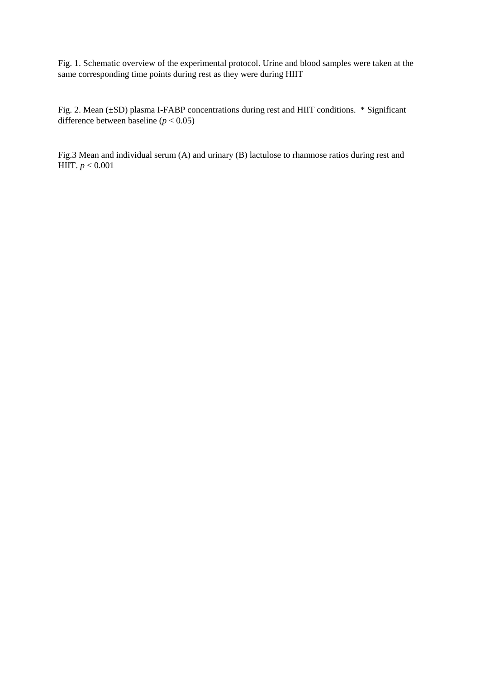Fig. 1. Schematic overview of the experimental protocol. Urine and blood samples were taken at the same corresponding time points during rest as they were during HIIT

Fig. 2. Mean (±SD) plasma I-FABP concentrations during rest and HIIT conditions. \* Significant difference between baseline (*p* < 0.05)

Fig.3 Mean and individual serum (A) and urinary (B) lactulose to rhamnose ratios during rest and HIIT. *p* < 0.001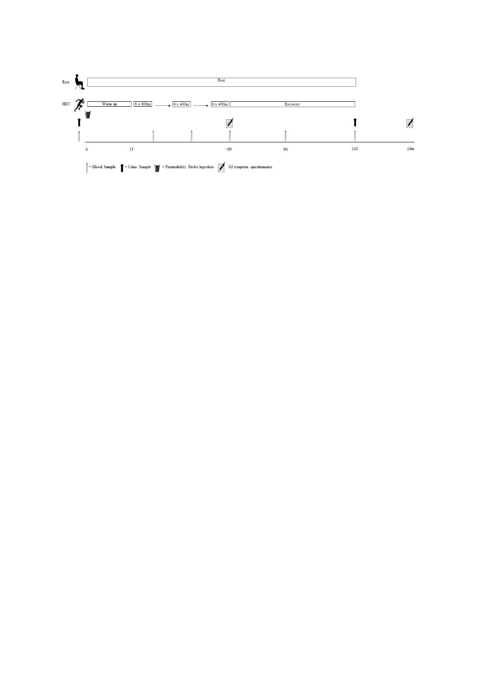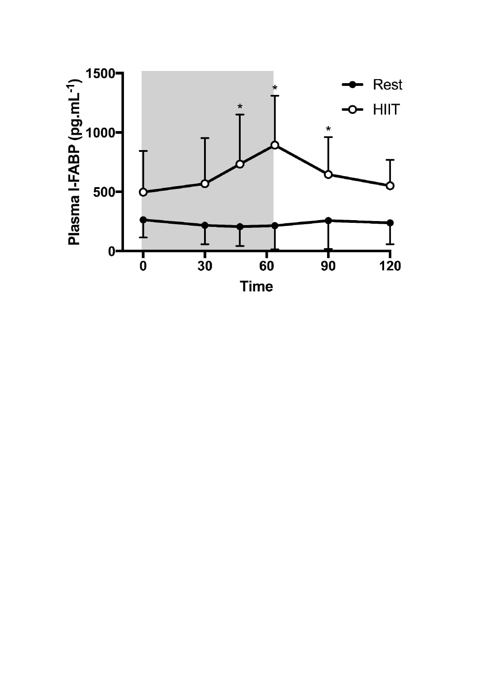